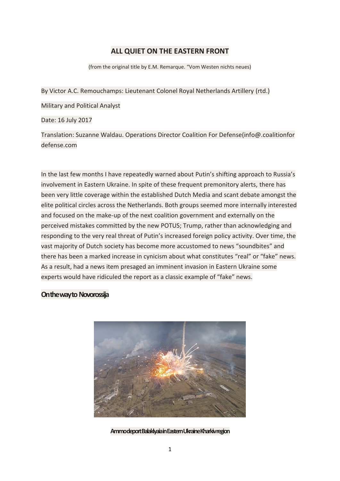## **ALL QUIET ON THE EASTERN FRONT**

(from the original title by E.M. Remarque. "Vom Westen nichts neues)

By Victor A.C. Remouchamps: Lieutenant Colonel Royal Netherlands Artillery (rtd.)

Military and Political Analyst

Date: 16 July 2017

Translation: Suzanne Waldau. Operations Director Coalition For Defense(info@.coalitionfor defense.com

In the last few months I have repeatedly warned about Putin's shifting approach to Russia's involvement in Eastern Ukraine. In spite of these frequent premonitory alerts, there has been very little coverage within the established Dutch Media and scant debate amongst the elite political circles across the Netherlands. Both groups seemed more internally interested and focused on the make-up of the next coalition government and externally on the perceived mistakes committed by the new POTUS; Trump, rather than acknowledging and responding to the very real threat of Putin's increased foreign policy activity. Over time, the vast majority of Dutch society has become more accustomed to news "soundbites" and there has been a marked increase in cynicism about what constitutes "real" or "fake" news. As a result, had a news item presaged an imminent invasion in Eastern Ukraine some experts would have ridiculed the report as a classic example of "fake" news.

### **On the way to Novorossija**



**Ammo deport Balaklyaia in Eastern Ukraine Kharkiv region**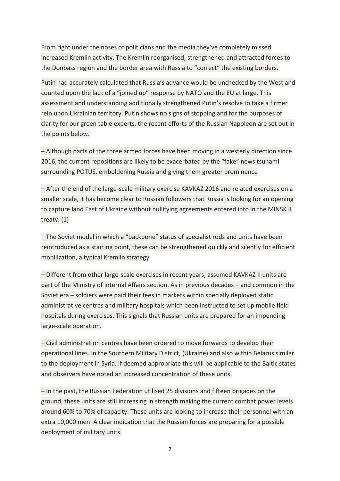From right under the noses of politicians and the media they've completely missed increased Kremlin activity. The Kremlin reorganised, strengthened and attracted forces to the Donbass region and the border area with Russia to "correct" the existing borders.

Putin had accurately calculated that Russia's advance would be unchecked by the West and counted upon the lack of a "joined up" response by NATO and the EU at large. This assessment and understanding additionally strengthened Putin's resolve to take a firmer rein upon Ukrainian territory. Putin shows no signs of stopping and for the purposes of clarity for our green table experts, the recent efforts of the Russian Napoleon are set out in the points below.

– Although parts of the three armed forces have been moving in a westerly direction since 2016, the current repositions are likely to be exacerbated by the "fake" news tsunami surrounding POTUS, emboldening Russia and giving them greater prominence

– After the end of the large-scale military exercise KAVKAZ 2016 and related exercises on a smaller scale, it has become clear to Russian followers that Russia is looking for an opening to capture land East of Ukraine without nullifying agreements entered into in the MINSK II treaty. (1)

– The Soviet model in which a "backbone" status of specialist rods and units have been reintroduced as a starting point, these can be strengthened quickly and silently for efficient mobilization, a typical Kremlin strategy

– Different from other large-scale exercises in recent years, assumed KAVKAZ II units are part of the Ministry of Internal Affairs section. As in previous decades – and common in the Soviet era – soldiers were paid their fees in markets within specially deployed static administrative centres and military hospitals which been instructed to set up mobile field hospitals during exercises. This signals that Russian units are prepared for an impending large-scale operation.

– Civil administration centres have been ordered to move forwards to develop their operational lines. In the Southern Military District, (Ukraine) and also within Belarus similar to the deployment in Syria. If deemed appropriate this will be applicable to the Baltic states and observers have noted an increased concentration of these units.

– In the past, the Russian Federation utilised 25 divisions and fifteen brigades on the ground, these units are still increasing in strength making the current combat power levels around 60% to 70% of capacity. These units are looking to increase their personnel with an extra 10,000 men. A clear indication that the Russian forces are preparing for a possible deployment of military units.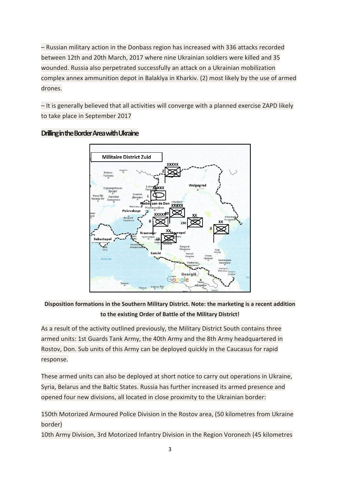– Russian military action in the Donbass region has increased with 336 attacks recorded between 12th and 20th March, 2017 where nine Ukrainian soldiers were killed and 35 wounded. Russia also perpetrated successfully an attack on a Ukrainian mobilization complex annex ammunition depot in Balaklya in Kharkiv. (2) most likely by the use of armed drones.

– It is generally believed that all activities will converge with a planned exercise ZAPD likely to take place in September 2017



### **Drilling in the Border Area with Ukraine**

**Disposition formations in the Southern Military District. Note: the marketing is a recent addition to the existing Order of Battle of the Military District!**

As a result of the activity outlined previously, the Military District South contains three armed units: 1st Guards Tank Army, the 40th Army and the 8th Army headquartered in Rostov, Don. Sub units of this Army can be deployed quickly in the Caucasus for rapid response.

These armed units can also be deployed at short notice to carry out operations in Ukraine, Syria, Belarus and the Baltic States. Russia has further increased its armed presence and opened four new divisions, all located in close proximity to the Ukrainian border:

150th Motorized Armoured Police Division in the Rostov area, (50 kilometres from Ukraine border)

10th Army Division, 3rd Motorized Infantry Division in the Region Voronezh (45 kilometres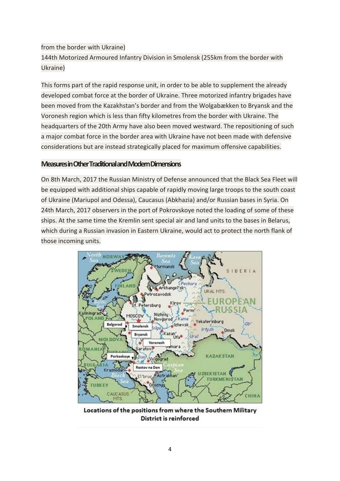# from the border with Ukraine) 144th Motorized Armoured Infantry Division in Smolensk (255km from the border with Ukraine)

This forms part of the rapid response unit, in order to be able to supplement the already developed combat force at the border of Ukraine. Three motorized infantry brigades have been moved from the Kazakhstan's border and from the Wolgabækken to Bryansk and the Voronesh region which is less than fifty kilometres from the border with Ukraine. The headquarters of the 20th Army have also been moved westward. The repositioning of such a major combat force in the border area with Ukraine have not been made with defensive considerations but are instead strategically placed for maximum offensive capabilities.

### **Measures in Other Traditional and Modern Dimensions**

On 8th March, 2017 the Russian Ministry of Defense announced that the Black Sea Fleet will be equipped with additional ships capable of rapidly moving large troops to the south coast of Ukraine (Mariupol and Odessa), Caucasus (Abkhazia) and/or Russian bases in Syria. On 24th March, 2017 observers in the port of Pokrovskoye noted the loading of some of these ships. At the same time the Kremlin sent special air and land units to the bases in Belarus, which during a Russian invasion in Eastern Ukraine, would act to protect the north flank of those incoming units.



Locations of the positions from where the Southern Military District is reinforced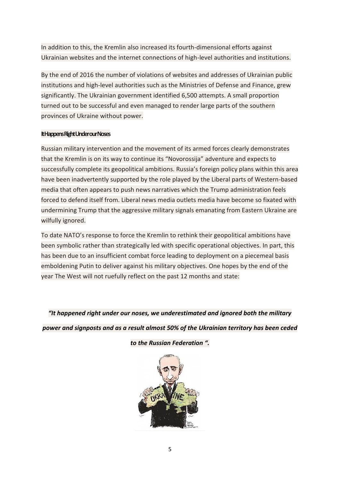In addition to this, the Kremlin also increased its fourth-dimensional efforts against Ukrainian websites and the internet connections of high-level authorities and institutions.

By the end of 2016 the number of violations of websites and addresses of Ukrainian public institutions and high-level authorities such as the Ministries of Defense and Finance, grew significantly. The Ukrainian government identified 6,500 attempts. A small proportion turned out to be successful and even managed to render large parts of the southern provinces of Ukraine without power.

### **It Happens Right Under our Noses**

Russian military intervention and the movement of its armed forces clearly demonstrates that the Kremlin is on its way to continue its "Novorossija" adventure and expects to successfully complete its geopolitical ambitions. Russia's foreign policy plans within this area have been inadvertently supported by the role played by the Liberal parts of Western-based media that often appears to push news narratives which the Trump administration feels forced to defend itself from. Liberal news media outlets media have become so fixated with undermining Trump that the aggressive military signals emanating from Eastern Ukraine are wilfully ignored.

To date NATO's response to force the Kremlin to rethink their geopolitical ambitions have been symbolic rather than strategically led with specific operational objectives. In part, this has been due to an insufficient combat force leading to deployment on a piecemeal basis emboldening Putin to deliver against his military objectives. One hopes by the end of the year The West will not ruefully reflect on the past 12 months and state:

*"It happened right under our noses, we underestimated and ignored both the military* 

*power and signposts and as a result almost 50% of the Ukrainian territory has been ceded* 



*to the Russian Federation ".*